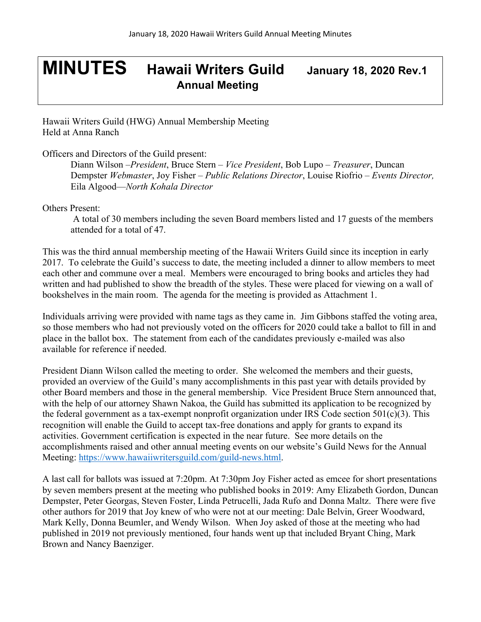## **MINUTES Hawaii Writers Guild January 18, <sup>2020</sup> Rev.1 Annual Meeting**

Hawaii Writers Guild (HWG) Annual Membership Meeting Held at Anna Ranch

Officers and Directors of the Guild present:

Diann Wilson –*President*, Bruce Stern – *Vice President*, Bob Lupo – *Treasurer*, Duncan Dempster *Webmaster*, Joy Fisher – *Public Relations Director*, Louise Riofrio – *Events Director,*  Eila Algood—*North Kohala Director*

Others Present:

A total of 30 members including the seven Board members listed and 17 guests of the members attended for a total of 47.

This was the third annual membership meeting of the Hawaii Writers Guild since its inception in early 2017. To celebrate the Guild's success to date, the meeting included a dinner to allow members to meet each other and commune over a meal. Members were encouraged to bring books and articles they had written and had published to show the breadth of the styles. These were placed for viewing on a wall of bookshelves in the main room. The agenda for the meeting is provided as Attachment 1.

Individuals arriving were provided with name tags as they came in. Jim Gibbons staffed the voting area, so those members who had not previously voted on the officers for 2020 could take a ballot to fill in and place in the ballot box. The statement from each of the candidates previously e-mailed was also available for reference if needed.

President Diann Wilson called the meeting to order. She welcomed the members and their guests, provided an overview of the Guild's many accomplishments in this past year with details provided by other Board members and those in the general membership. Vice President Bruce Stern announced that, with the help of our attorney Shawn Nakoa, the Guild has submitted its application to be recognized by the federal government as a tax-exempt nonprofit organization under IRS Code section  $501(c)(3)$ . This recognition will enable the Guild to accept tax-free donations and apply for grants to expand its activities. Government certification is expected in the near future. See more details on the accomplishments raised and other annual meeting events on our website's Guild News for the Annual Meeting: https://www.hawaiiwritersguild.com/guild-news.html.

A last call for ballots was issued at 7:20pm. At 7:30pm Joy Fisher acted as emcee for short presentations by seven members present at the meeting who published books in 2019: Amy Elizabeth Gordon, Duncan Dempster, Peter Georgas, Steven Foster, Linda Petrucelli, Jada Rufo and Donna Maltz. There were five other authors for 2019 that Joy knew of who were not at our meeting: Dale Belvin, Greer Woodward, Mark Kelly, Donna Beumler, and Wendy Wilson. When Joy asked of those at the meeting who had published in 2019 not previously mentioned, four hands went up that included Bryant Ching, Mark Brown and Nancy Baenziger.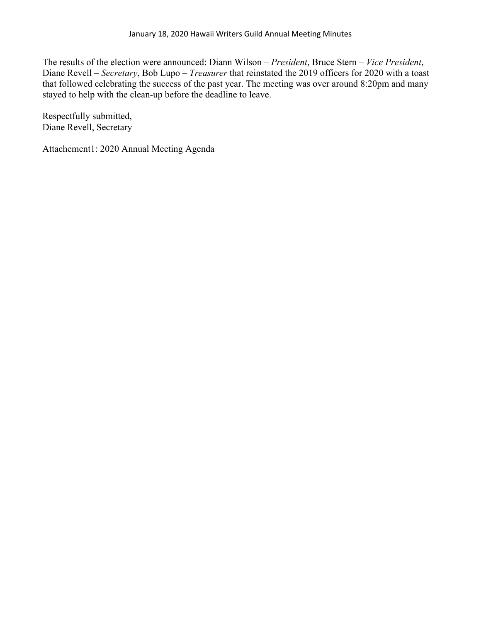The results of the election were announced: Diann Wilson – *President*, Bruce Stern – *Vice President*, Diane Revell – *Secretary*, Bob Lupo – *Treasurer* that reinstated the 2019 officers for 2020 with a toast that followed celebrating the success of the past year. The meeting was over around 8:20pm and many stayed to help with the clean-up before the deadline to leave.

Respectfully submitted, Diane Revell, Secretary

Attachement1: 2020 Annual Meeting Agenda